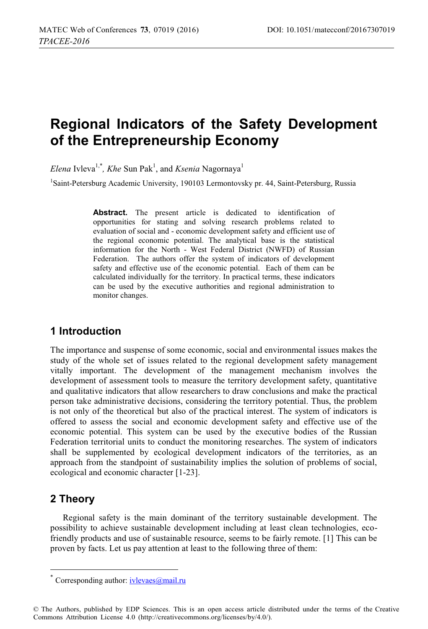# **Regional Indicators of the Safety Development of the Entrepreneurship Economy**

Elena Ivleva<sup>1,\*</sup>, *Khe* Sun Pak<sup>1</sup>, and *Ksenia* Nagornaya<sup>1</sup>

<sup>1</sup>Saint-Petersburg Academic University, 190103 Lermontovsky pr. 44, Saint-Petersburg, Russia

**Abstract.** The present article is dedicated to identification of opportunities for stating and solving research problems related to evaluation of social and - economic development safety and efficient use of the regional economic potential. The analytical base is the statistical information for the North - West Federal District (NWFD) of Russian Federation. The authors offer the system of indicators of development safety and effective use of the economic potential. Each of them can be calculated individually for the territory. In practical terms, these indicators can be used by the executive authorities and regional administration to monitor changes.

# **1 Introduction**

The importance and suspense of some economic, social and environmental issues makes the study of the whole set of issues related to the regional development safety management vitally important. The development of the management mechanism involves the development of assessment tools to measure the territory development safety, quantitative and qualitative indicators that allow researchers to draw conclusions and make the practical person take administrative decisions, considering the territory potential. Thus, the problem is not only of the theoretical but also of the practical interest. The system of indicators is offered to assess the social and economic development safety and effective use of the economic potential. This system can be used by the executive bodies of the Russian Federation territorial units to conduct the monitoring researches. The system of indicators shall be supplemented by ecological development indicators of the territories, as an approach from the standpoint of sustainability implies the solution of problems of social, ecological and economic character [1-23].

### **2 Theory**

 $\overline{a}$ 

Regional safety is the main dominant of the territory sustainable development. The possibility to achieve sustainable development including at least clean technologies, ecofriendly products and use of sustainable resource, seems to be fairly remote. [1] This can be proven by facts. Let us pay attention at least to the following three of them:

© The Authors, published by EDP Sciences. This is an open access article distributed under the terms of the Creative Commons Attribution License 4.0 (http://creativecommons.org/licenses/by/4.0/).

Corresponding author:  $ivlevase@mail.ru$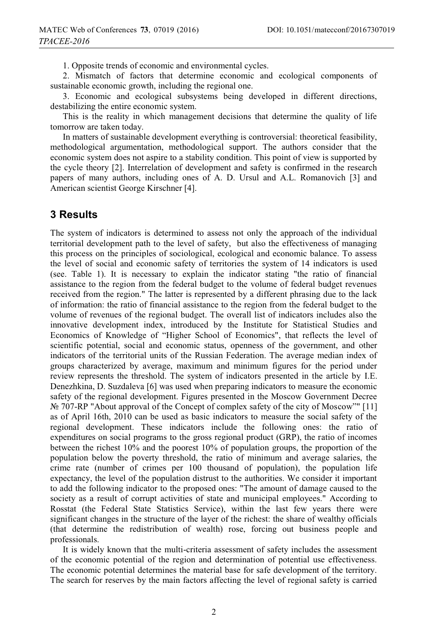1. Opposite trends of economic and environmental cycles.

2. Mismatch of factors that determine economic and ecological components of sustainable economic growth, including the regional one.

3. Economic and ecological subsystems being developed in different directions, destabilizing the entire economic system.

This is the reality in which management decisions that determine the quality of life tomorrow are taken today.

In matters of sustainable development everything is controversial: theoretical feasibility, methodological argumentation, methodological support. The authors consider that the economic system does not aspire to a stability condition. This point of view is supported by the cycle theory [2]. Interrelation of development and safety is confirmed in the research papers of many authors, including ones of A. D. Ursul and A.L. Romanovich [3] and American scientist George Kirschner [4].

## **3 Results**

The system of indicators is determined to assess not only the approach of the individual territorial development path to the level of safety, but also the effectiveness of managing this process on the principles of sociological, ecological and economic balance. To assess the level of social and economic safety of territories the system of 14 indicators is used (see. Table 1). It is necessary to explain the indicator stating "the ratio of financial assistance to the region from the federal budget to the volume of federal budget revenues received from the region." The latter is represented by a different phrasing due to the lack of information: the ratio of financial assistance to the region from the federal budget to the volume of revenues of the regional budget. The overall list of indicators includes also the innovative development index, introduced by the Institute for Statistical Studies and Economics of Knowledge of "Higher School of Economics", that reflects the level of scientific potential, social and economic status, openness of the government, and other indicators of the territorial units of the Russian Federation. The average median index of groups characterized by average, maximum and minimum figures for the period under review represents the threshold. The system of indicators presented in the article by I.E. Denezhkina, D. Suzdaleva [6] was used when preparing indicators to measure the economic safety of the regional development. Figures presented in the Moscow Government Decree № 707-RP "About approval of the Concept of complex safety of the city of Moscow"" [11] as of April 16th, 2010 can be used as basic indicators to measure the social safety of the regional development. These indicators include the following ones: the ratio of expenditures on social programs to the gross regional product (GRP), the ratio of incomes between the richest 10% and the poorest 10% of population groups, the proportion of the population below the poverty threshold, the ratio of minimum and average salaries, the crime rate (number of crimes per 100 thousand of population), the population life expectancy, the level of the population distrust to the authorities. We consider it important to add the following indicator to the proposed ones: "The amount of damage caused to the society as a result of corrupt activities of state and municipal employees." According to Rosstat (the Federal State Statistics Service), within the last few years there were significant changes in the structure of the layer of the richest: the share of wealthy officials (that determine the redistribution of wealth) rose, forcing out business people and professionals.

It is widely known that the multi-criteria assessment of safety includes the assessment of the economic potential of the region and determination of potential use effectiveness. The economic potential determines the material base for safe development of the territory. The search for reserves by the main factors affecting the level of regional safety is carried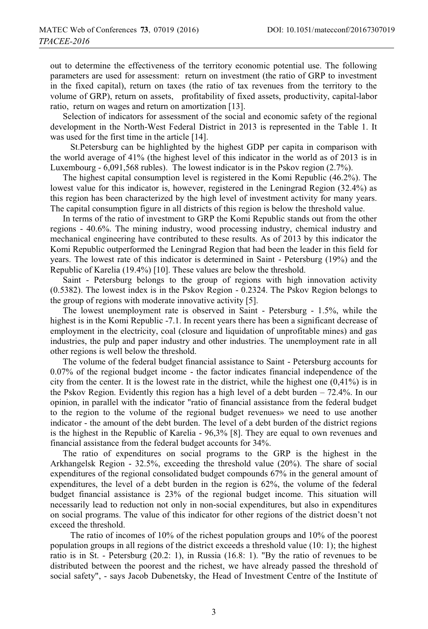out to determine the effectiveness of the territory economic potential use. The following parameters are used for assessment: return on investment (the ratio of GRP to investment in the fixed capital), return on taxes (the ratio of tax revenues from the territory to the volume of GRP), return on assets, profitability of fixed assets, productivity, capital-labor ratio, return on wages and return on amortization [13].

Selection of indicators for assessment of the social and economic safety of the regional development in the North-West Federal District in 2013 is represented in the Table 1. It was used for the first time in the article [14].

 St.Petersburg can be highlighted by the highest GDP per capita in comparison with the world average of 41% (the highest level of this indicator in the world as of 2013 is in Luxembourg - 6,091,568 rubles). The lowest indicator is in the Pskov region (2.7%).

The highest capital consumption level is registered in the Komi Republic (46.2%). The lowest value for this indicator is, however, registered in the Leningrad Region (32.4%) as this region has been characterized by the high level of investment activity for many years. The capital consumption figure in all districts of this region is below the threshold value.

In terms of the ratio of investment to GRP the Komi Republic stands out from the other regions - 40.6%. The mining industry, wood processing industry, chemical industry and mechanical engineering have contributed to these results. As of 2013 by this indicator the Komi Republic outperformed the Leningrad Region that had been the leader in this field for years. The lowest rate of this indicator is determined in Saint - Petersburg (19%) and the Republic of Karelia (19.4%) [10]. These values are below the threshold.

Saint - Petersburg belongs to the group of regions with high innovation activity (0.5382). The lowest index is in the Pskov Region - 0.2324. The Pskov Region belongs to the group of regions with moderate innovative activity [5].

The lowest unemployment rate is observed in Saint - Petersburg - 1.5%, while the highest is in the Komi Republic -7.1. In recent years there has been a significant decrease of employment in the electricity, coal (closure and liquidation of unprofitable mines) and gas industries, the pulp and paper industry and other industries. The unemployment rate in all other regions is well below the threshold.

The volume of the federal budget financial assistance to Saint - Petersburg accounts for 0.07% of the regional budget income - the factor indicates financial independence of the city from the center. It is the lowest rate in the district, while the highest one  $(0,41\%)$  is in the Pskov Region. Evidently this region has a high level of a debt burden  $-72.4\%$ . In our opinion, in parallel with the indicator "ratio of financial assistance from the federal budget to the region to the volume of the regional budget revenues» we need to use another indicator - the amount of the debt burden. The level of a debt burden of the district regions is the highest in the Republic of Karelia - 96,3% [8]. They are equal to own revenues and financial assistance from the federal budget accounts for 34%.

The ratio of expenditures on social programs to the GRP is the highest in the Arkhangelsk Region - 32.5%, exceeding the threshold value (20%). The share of social expenditures of the regional consolidated budget compounds 67% in the general amount of expenditures, the level of a debt burden in the region is 62%, the volume of the federal budget financial assistance is 23% of the regional budget income. This situation will necessarily lead to reduction not only in non-social expenditures, but also in expenditures on social programs. The value of this indicator for other regions of the district doesn't not exceed the threshold.

 The ratio of incomes of 10% of the richest population groups and 10% of the poorest population groups in all regions of the district exceeds a threshold value (10: 1); the highest ratio is in St. - Petersburg (20.2: 1), in Russia (16.8: 1). "By the ratio of revenues to be distributed between the poorest and the richest, we have already passed the threshold of social safety", - says Jacob Dubenetsky, the Head of Investment Centre of the Institute of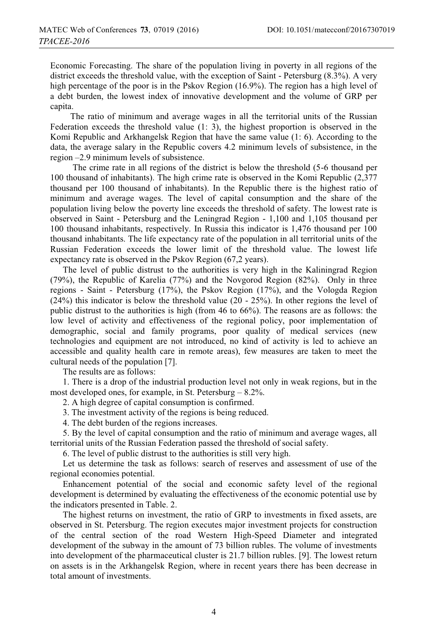Economic Forecasting. The share of the population living in poverty in all regions of the district exceeds the threshold value, with the exception of Saint - Petersburg (8.3%). A very high percentage of the poor is in the Pskov Region (16.9%). The region has a high level of a debt burden, the lowest index of innovative development and the volume of GRP per capita.

 The ratio of minimum and average wages in all the territorial units of the Russian Federation exceeds the threshold value (1: 3), the highest proportion is observed in the Komi Republic and Arkhangelsk Region that have the same value (1: 6). According to the data, the average salary in the Republic covers 4.2 minimum levels of subsistence, in the region –2.9 minimum levels of subsistence.

 The crime rate in all regions of the district is below the threshold (5-6 thousand per 100 thousand of inhabitants). The high crime rate is observed in the Komi Republic (2,377 thousand per 100 thousand of inhabitants). In the Republic there is the highest ratio of minimum and average wages. The level of capital consumption and the share of the population living below the poverty line exceeds the threshold of safety. The lowest rate is observed in Saint - Petersburg and the Leningrad Region - 1,100 and 1,105 thousand per 100 thousand inhabitants, respectively. In Russia this indicator is 1,476 thousand per 100 thousand inhabitants. The life expectancy rate of the population in all territorial units of the Russian Federation exceeds the lower limit of the threshold value. The lowest life expectancy rate is observed in the Pskov Region (67,2 years).

The level of public distrust to the authorities is very high in the Kaliningrad Region (79%), the Republic of Karelia (77%) and the Novgorod Region (82%). Only in three regions - Saint - Petersburg (17%), the Pskov Region (17%), and the Vologda Region  $(24%)$  this indicator is below the threshold value  $(20 - 25%)$ . In other regions the level of public distrust to the authorities is high (from 46 to 66%). The reasons are as follows: the low level of activity and effectiveness of the regional policy, poor implementation of demographic, social and family programs, poor quality of medical services (new technologies and equipment are not introduced, no kind of activity is led to achieve an accessible and quality health care in remote areas), few measures are taken to meet the cultural needs of the population [7].

The results are as follows:

1. There is a drop of the industrial production level not only in weak regions, but in the most developed ones, for example, in St. Petersburg – 8.2%.

2. A high degree of capital consumption is confirmed.

3. The investment activity of the regions is being reduced.

4. The debt burden of the regions increases.

5. By the level of capital consumption and the ratio of minimum and average wages, all territorial units of the Russian Federation passed the threshold of social safety.

6. The level of public distrust to the authorities is still very high.

Let us determine the task as follows: search of reserves and assessment of use of the regional economies potential.

Enhancement potential of the social and economic safety level of the regional development is determined by evaluating the effectiveness of the economic potential use by the indicators presented in Table. 2.

The highest returns on investment, the ratio of GRP to investments in fixed assets, are observed in St. Petersburg. The region executes major investment projects for construction of the central section of the road Western High-Speed Diameter and integrated development of the subway in the amount of 73 billion rubles. The volume of investments into development of the pharmaceutical cluster is 21.7 billion rubles. [9]. The lowest return on assets is in the Arkhangelsk Region, where in recent years there has been decrease in total amount of investments.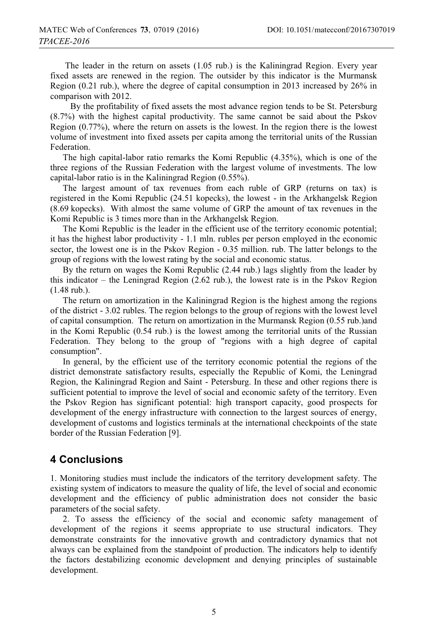The leader in the return on assets (1.05 rub.) is the Kaliningrad Region. Every year fixed assets are renewed in the region. The outsider by this indicator is the Murmansk Region (0.21 rub.), where the degree of capital consumption in 2013 increased by 26% in comparison with 2012.

 By the profitability of fixed assets the most advance region tends to be St. Petersburg (8.7%) with the highest capital productivity. The same cannot be said about the Pskov Region (0.77%), where the return on assets is the lowest. In the region there is the lowest volume of investment into fixed assets per capita among the territorial units of the Russian Federation.

The high capital-labor ratio remarks the Komi Republic (4.35%), which is one of the three regions of the Russian Federation with the largest volume of investments. The low capital-labor ratio is in the Kaliningrad Region (0.55%).

The largest amount of tax revenues from each ruble of GRP (returns on tax) is registered in the Komi Republic (24.51 kopecks), the lowest - in the Arkhangelsk Region (8.69 kopecks). With almost the same volume of GRP the amount of tax revenues in the Komi Republic is 3 times more than in the Arkhangelsk Region.

The Komi Republic is the leader in the efficient use of the territory economic potential; it has the highest labor productivity - 1.1 mln. rubles per person employed in the economic sector, the lowest one is in the Pskov Region - 0.35 million. rub. The latter belongs to the group of regions with the lowest rating by the social and economic status.

By the return on wages the Komi Republic (2.44 rub.) lags slightly from the leader by this indicator – the Leningrad Region  $(2.62 \text{ rub.})$ , the lowest rate is in the Pskov Region (1.48 rub.).

The return on amortization in the Kaliningrad Region is the highest among the regions of the district - 3.02 rubles. The region belongs to the group of regions with the lowest level of capital consumption. The return on amortization in the Murmansk Region (0.55 rub.)and in the Komi Republic (0.54 rub.) is the lowest among the territorial units of the Russian Federation. They belong to the group of "regions with a high degree of capital consumption".

In general, by the efficient use of the territory economic potential the regions of the district demonstrate satisfactory results, especially the Republic of Komi, the Leningrad Region, the Kaliningrad Region and Saint - Petersburg. In these and other regions there is sufficient potential to improve the level of social and economic safety of the territory. Even the Pskov Region has significant potential: high transport capacity, good prospects for development of the energy infrastructure with connection to the largest sources of energy, development of customs and logistics terminals at the international checkpoints of the state border of the Russian Federation [9].

# **4 Conclusions**

1. Monitoring studies must include the indicators of the territory development safety. The existing system of indicators to measure the quality of life, the level of social and economic development and the efficiency of public administration does not consider the basic parameters of the social safety.

2. To assess the efficiency of the social and economic safety management of development of the regions it seems appropriate to use structural indicators. They demonstrate constraints for the innovative growth and contradictory dynamics that not always can be explained from the standpoint of production. The indicators help to identify the factors destabilizing economic development and denying principles of sustainable development.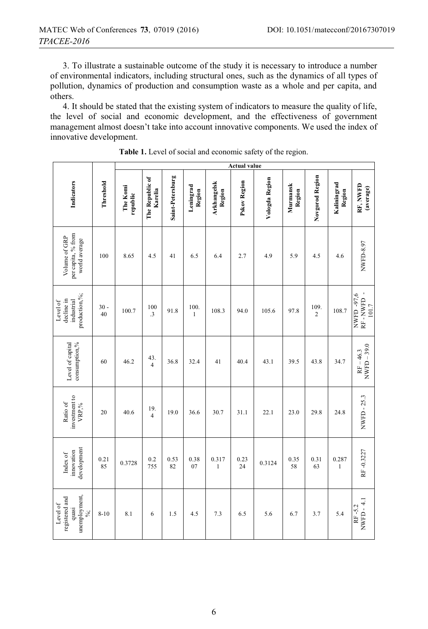3. To illustrate a sustainable outcome of the study it is necessary to introduce a number of environmental indicators, including structural ones, such as the dynamics of all types of pollution, dynamics of production and consumption waste as a whole and per capita, and others.

4. It should be stated that the existing system of indicators to measure the quality of life, the level of social and economic development, and the effectiveness of government management almost doesn't take into account innovative components. We used the index of innovative development.

|                                                           | <b>Actual value</b> |                      |                                |                  |                      |                       |              |                |                    |                        |                       |                                |
|-----------------------------------------------------------|---------------------|----------------------|--------------------------------|------------------|----------------------|-----------------------|--------------|----------------|--------------------|------------------------|-----------------------|--------------------------------|
| Indicators                                                | Threshold           | The Komi<br>republic | The Republic of<br>Karelia     | Saint-Petersburg | Leningrad<br>Region  | Arkhangelsk<br>Region | Pskov Region | Vologda Region | Murmansk<br>Region | Novgorod Region        | Kaliningrad<br>Region | RF, NWFD<br>(average)          |
| per capita, % from<br>Volume of GRP<br>world average      | 100                 | 8.65                 | 4.5                            | 41               | 6.5                  | 6.4                   | 2.7          | 4.9            | 5.9                | 4.5                    | 4.6                   | NWFD-8.97                      |
| production,%;<br>decline in<br>industrial<br>Level of     | $30 -$<br>40        | 100.7                | 100<br>$\overline{\mathbf{3}}$ | 91.8             | 100.<br>$\mathbf{1}$ | 108.3                 | 94.0         | 105.6          | 97.8               | 109.<br>$\overline{c}$ | 108.7                 | RF-NWFD-<br>NWFD-97,6<br>101.7 |
| Level of capital<br>$\rm consumption, \%$                 | 60                  | 46.2                 | 43.<br>$\overline{4}$          | 36.8             | 32.4                 | 41                    | 40.4         | 43.1           | 39.5               | 43.8                   | 34.7                  | $NWFD-39.0$<br>$RF - 46.3$     |
| investment to<br>Ratio of<br>VRP,%                        | 20                  | 40.6                 | 19.<br>$\overline{4}$          | 19.0             | 36.6                 | 30.7                  | 31.1         | 22.1           | 23.0               | 29.8                   | 24.8                  | NWFD-25.3                      |
| development<br>innovation<br>Index of                     | 0.21<br>85          | 0.3728               | 0.2<br>755                     | 0.53<br>82       | 0.38<br>07           | 0.317<br>$\mathbf{1}$ | 0.23<br>24   | 0.3124         | 0.35<br>58         | 0.31<br>63             | 0.287<br>$\mathbf{1}$ | RF-0.3227                      |
| unemployment,<br>registered and<br>Level of<br>quasi<br>% | $8 - 10$            | 8.1                  | 6                              | 1.5              | 4.5                  | 7.3                   | 6.5          | 5.6            | 6.7                | 3.7                    | 5.4                   | NWFD-4.1<br>RF-5.2             |

Table 1. Level of social and economic safety of the region.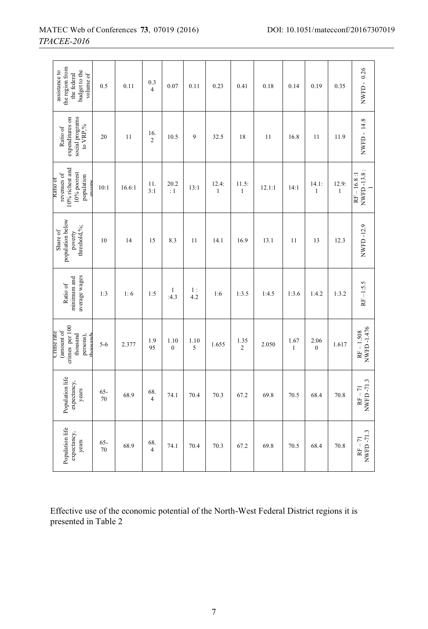| the region from<br>budget to the<br>assistance to<br>the federal<br>$% \left( \mathcal{N}\right)$ volume of | 0.5          | 0.11   | 0.3<br>$\overline{\mathbf{4}}$ | 0.07                     | 0.11      | 0.23                  | 0.41                   | 0.18   | 0.14                 | 0.19                  | 0.35                  | NWFD-0.26                                                               |
|-------------------------------------------------------------------------------------------------------------|--------------|--------|--------------------------------|--------------------------|-----------|-----------------------|------------------------|--------|----------------------|-----------------------|-----------------------|-------------------------------------------------------------------------|
| social programs<br>expenditures on<br>to VRP,%<br>Ratio of                                                  | 20           | 11     | 16.<br>$\overline{c}$          | 10.5                     | 9         | 32.5                  | 18                     | 11     | 16.8                 | 11                    | 11.9                  | NWFD-14.8                                                               |
| 10% richest and<br>10% poorest<br>revenues of<br>population<br><b>Katio</b> of<br>rming                     | 10:1         | 16.6:1 | 11.<br>3:1                     | 20.2<br>$\div 1$         | 13:1      | 12.4:<br>$\mathbf{1}$ | 11.5:<br>$\,1$         | 12.1:1 | 14:1                 | 14.1:<br>$\mathbf{1}$ | 12.9:<br>$\mathbf{1}$ | $RF - 16.8:1$<br>NWFD-13.8                                              |
| population below<br>threshold,%;<br>Share of<br>poverty                                                     | 10           | 14     | 15                             | 8.3                      | 11        | 14.1                  | 16.9                   | 13.1   | 11                   | 13                    | 12.3                  | NWFD-12.9                                                               |
| average wages<br>minimum and<br>Ratio of                                                                    | 1:3          | 1:6    | 1:5                            | $\mathbf{1}$<br>:4.3     | 1:<br>4.2 | 1:6                   | 1:3.5                  | 1:4.5  | 1:3.6                | 1:4.2                 | 1:3.2                 | $RF -1:5.5$                                                             |
| crimes per 100<br>(amount of<br>Urime rate<br>thousand<br>persons),<br>thousands                            | $5 - 6$      | 2.377  | 1.9<br>95                      | 1.10<br>$\boldsymbol{0}$ | 1.10<br>5 | 1.655                 | 1.35<br>$\overline{c}$ | 2.050  | 1.67<br>$\mathbf{1}$ | 2.06<br>$\bf{0}$      | 1.617                 | $\begin{array}{c} \textrm{RF}-1.508 \\ \textrm{NWFD}-1.476 \end{array}$ |
| Population life<br>expectancy,<br>years                                                                     | $65 -$<br>70 | 68.9   | 68.<br>$\overline{4}$          | 74.1                     | 70.4      | 70.3                  | 67.2                   | 69.8   | 70.5                 | 68.4                  | 70.8                  | NWFD-71.3<br>$RF - 71$                                                  |
| Population life<br>expectancy,<br>years                                                                     | $65 -$<br>70 | 68.9   | 68.<br>$\overline{4}$          | 74.1                     | 70.4      | 70.3                  | 67.2                   | 69.8   | 70.5                 | 68.4                  | 70.8                  | $\begin{array}{c} \rm{RF} - 71 \\ \rm{NWFD} - 71.3 \end{array}$         |

Effective use of the economic potential of the North-West Federal District regions it is presented in Table 2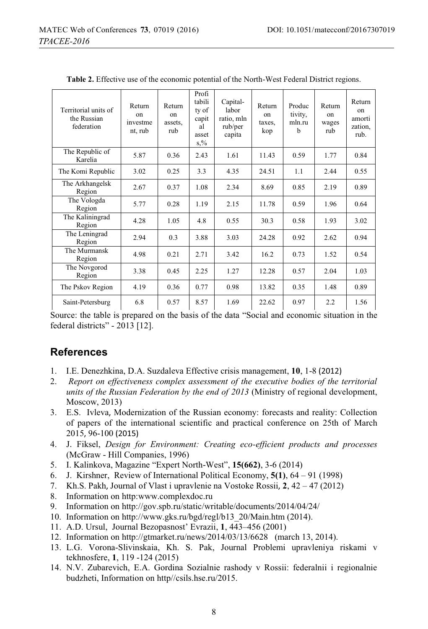| Territorial units of<br>the Russian<br>federation | Return<br><sub>on</sub><br>investme<br>nt, rub | Return<br><sub>on</sub><br>assets.<br>rub | Profi<br>tabili<br>ty of<br>capit<br>al<br>asset<br>$s, \%$ | Capital-<br>labor<br>ratio, mln<br>rub/per<br>capita | Return<br><sub>on</sub><br>taxes,<br>kop | Produc<br>tivity,<br>mln.ru<br>h | Return<br><sub>on</sub><br>wages<br>rub | Return<br>on<br>amorti<br>zation.<br>rub. |
|---------------------------------------------------|------------------------------------------------|-------------------------------------------|-------------------------------------------------------------|------------------------------------------------------|------------------------------------------|----------------------------------|-----------------------------------------|-------------------------------------------|
| The Republic of<br>Karelia                        | 5.87                                           | 0.36                                      | 2.43                                                        | 1.61                                                 | 11.43                                    | 0.59                             | 1.77                                    | 0.84                                      |
| The Komi Republic                                 | 3.02                                           | 0.25                                      | 3.3                                                         | 4.35                                                 | 24.51                                    | 1.1                              | 2.44                                    | 0.55                                      |
| The Arkhangelsk<br>Region                         | 2.67                                           | 0.37                                      | 1.08                                                        | 2.34                                                 | 8.69                                     | 0.85                             | 2.19                                    | 0.89                                      |
| The Vologda<br>Region                             | 5.77                                           | 0.28                                      | 1.19                                                        | 2.15                                                 | 11.78                                    | 0.59                             | 1.96                                    | 0.64                                      |
| The Kaliningrad<br>Region                         | 4.28                                           | 1.05                                      | 4.8                                                         | 0.55                                                 | 30.3                                     | 0.58                             | 1.93                                    | 3.02                                      |
| The Leningrad<br>Region                           | 2.94                                           | 0.3                                       | 3.88                                                        | 3.03                                                 | 24.28                                    | 0.92                             | 2.62                                    | 0.94                                      |
| The Murmansk<br>Region                            | 4.98                                           | 0.21                                      | 2.71                                                        | 3.42                                                 | 16.2                                     | 0.73                             | 1.52                                    | 0.54                                      |
| The Novgorod<br>Region                            | 3.38                                           | 0.45                                      | 2.25                                                        | 1.27                                                 | 12.28                                    | 0.57                             | 2.04                                    | 1.03                                      |
| The Pskov Region                                  | 4.19                                           | 0.36                                      | 0.77                                                        | 0.98                                                 | 13.82                                    | 0.35                             | 1.48                                    | 0.89                                      |
| Saint-Petersburg                                  | 6.8                                            | 0.57                                      | 8.57                                                        | 1.69                                                 | 22.62                                    | 0.97                             | 2.2                                     | 1.56                                      |

**Table 2.** Effective use of the economic potential of the North-West Federal District regions.

Source: the table is prepared on the basis of the data "Social and economic situation in the federal districts" - 2013 [12] federal districts" - 2013 [12].

### **References**

- 1. I.E. Denezhkina, D.A. Suzdaleva Effective crisis management, **10**, 1-8 (2012)
- 2. *Report on effectiveness complex assessment of the executive bodies of the territorial units of the Russian Federation by the end of 2013* (Ministry of regional development, Moscow, 2013)
- 3. E.S. Ivleva, Modernization of the Russian economy: forecasts and reality: Collection of papers of the international scientific and practical conference on 25th of March 2015, 96-100 (2015)
- 4. J. Fiksel, *Design for Environment: Creating eco-efficient products and processes* (McGraw - Hill Companies, 1996)
- 5. I. Kalinkova, Magazine "Expert North-West", **15(662)**, 3-6 (2014)
- 6. J. Kirshner, Review of International Political Economy, **5(1)**, 64 91 (1998)
- 7. Kh.S. Pakh, Journal of Vlast i upravlenie na Vostoke Rossii, **2**, 42 <sup>47</sup> (2012)
- 8. Information on http:www.complexdoc.ru
- 9. Information on http://gov.spb.ru/static/writable/documents/2014/04/24/
- 10. Information on http://www.gks.ru/bgd/regl/b13\_20/Main.htm (2014).
- 11. A.D. Ursul, Journal Bezopasnost' Evrazii, **1**, 443–456 (2001)
- 12. Information on http://gtmarket.ru/news/2014/03/13/6628 (march 13, 2014).
- 13. L.G. Vorona-Slivinskaia, Kh. S. Pak, Journal Problemi upravleniya riskami v tekhnosfere, **1**, 119 -124 (2015)
- 14. N.V. Zubarevich, E.A. Gordina Sozialnie rashody v Rossii: federalnii i regionalnie budzheti, Information on http//csils.hse.ru/2015.